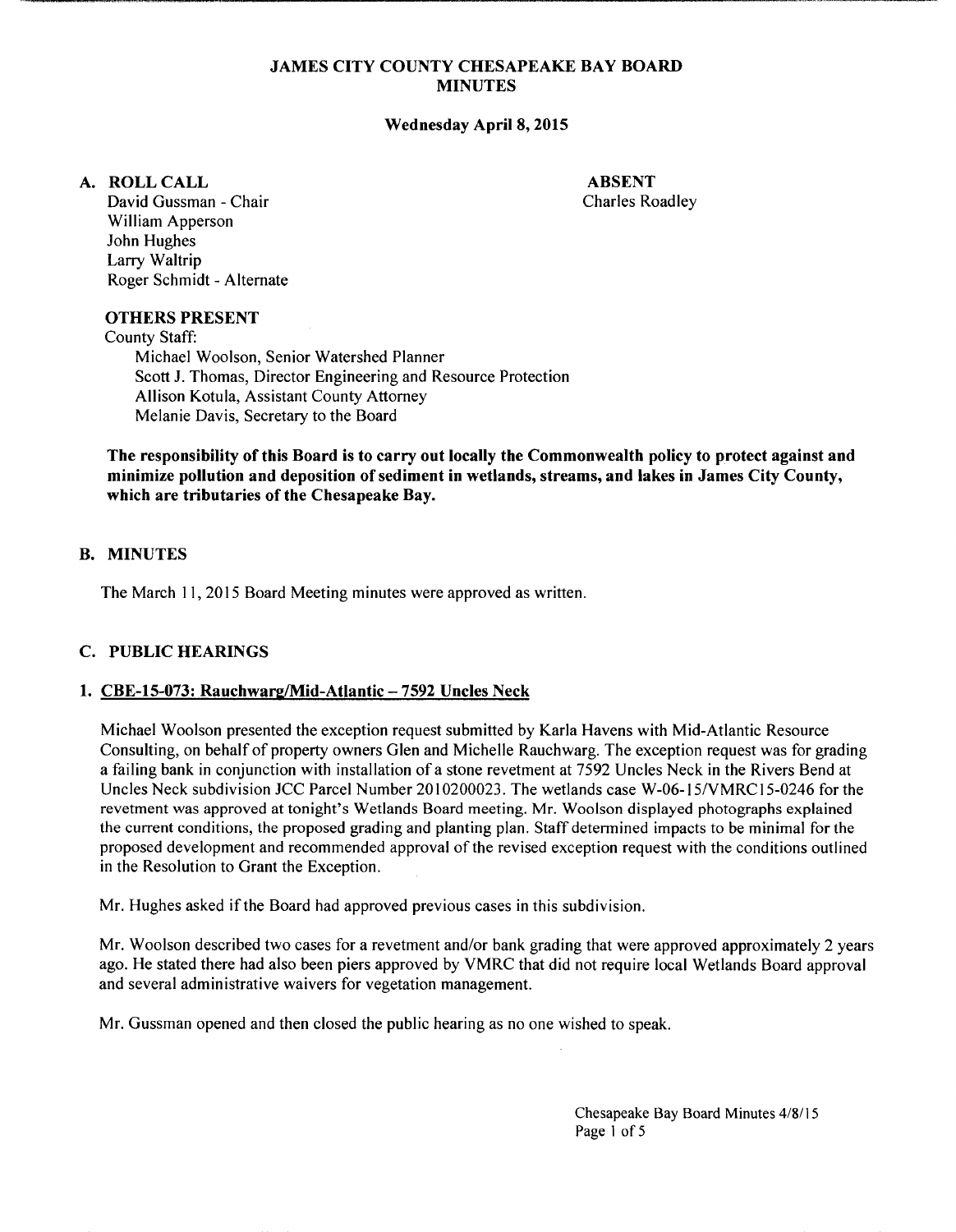## **JAMES CITY COUNTY CHESAPEAKE BAY BOARD MINUTES**

------------------------------------~,--,-<-~~----~----·-

## **Wednesday April 8, 2015**

## **A. ROLLCALL**

**ABSENT**  Charles Roadley

David Gussman - Chair William Apperson John Hughes Larry Waltrip Roger Schmidt- Alternate

#### **OTHERS PRESENT**

County Staff: Michael Woolson, Senior Watershed Planner Scott **J.** Thomas, Director Engineering and Resource Protection Allison Kotula, Assistant County Attorney Melanie Davis, Secretary to the Board

**The responsibility of this Board is to carry out locally the Commonwealth policy to protect against and minimize pollution and deposition of sediment in wetlands, streams, and lakes in James City County, which are tributaries of the Chesapeake Bay.** 

## **B. MINUTES**

The March 11, 2015 Board Meeting minutes were approved as written.

## **C. PUBLIC HEARINGS**

#### **1. CBE-15-073: Rauchwarg/Mid-Atlantic- 7592 Uncles Neck**

Michael Woolson presented the exception request submitted by Karla Havens with Mid-Atlantic Resource Consulting, on behalf of property owners Glen and Michelle Rauchwarg. The exception request was for grading a failing bank in conjunction with installation of a stone revetment at 7592 Uncles Neck in the Rivers Bend at Uncles Neck subdivision JCC Parcel Number 2010200023. The wetlands case W-06-15/VMRC15-0246 for the revetment was approved at tonight's Wetlands Board meeting. Mr. Woolson displayed photographs explained the current conditions, the proposed grading and planting plan. Staff determined impacts to be minimal for the proposed development and recommended approval of the revised exception request with the conditions outlined in the Resolution to Grant the Exception.

Mr. Hughes asked if the Board had approved previous cases in this subdivision.

Mr. Woolson described two cases for a revetment and/or bank grading that were approved approximately 2 years ago. He stated there had also been piers approved by VMRC that did not require local Wetlands Board approval and several administrative waivers for vegetation management.

Mr. Gussman opened and then closed the public hearing as no one wished to speak.

Chesapeake Bay Board Minutes 4/8/15 Page 1 of 5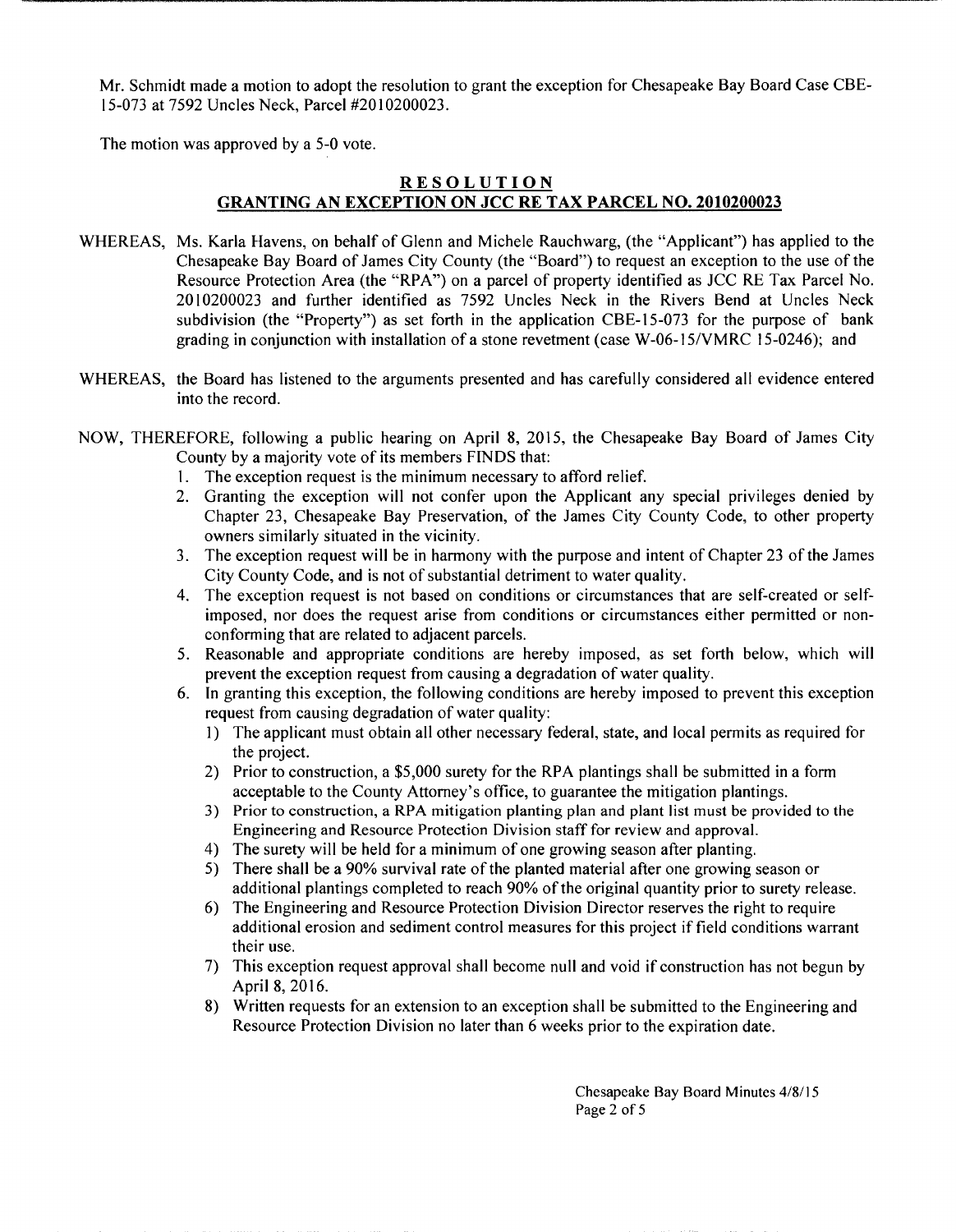Mr. Schmidt made a motion to adopt the resolution to grant the exception for Chesapeake Bay Board Case CBE-15-073 at 7592 Uncles Neck, Parcel #20I0200023.

The motion was approved by a 5-0 vote.

## **RESOLUTION GRANTING AN EXCEPTION ON JCC RE TAX PARCEL NO. 2010200023**

- WHEREAS, Ms. Karla Havens, on behalf of Glenn and Michele Rauchwarg, (the "Applicant") has applied to the Chesapeake Bay Board of James City County (the "Board") to request an exception to the use of the Resource Protection Area (the "RPA") on a parcel of property identified as JCC RE Tax Parcel No. 2010200023 and further identified as 7592 Uncles Neck in the Rivers Bend at Uncles Neck subdivision (the "Property") as set forth in the application CBE-IS-073 for the purpose of bank grading in conjunction with installation of a stone revetment (case W -06-15/VMRC 15-0246); and
- WHEREAS, the Board has listened to the arguments presented and has carefully considered all evidence entered into the record.
- NOW, THEREFORE, following a public hearing on April 8, 20I5, the Chesapeake Bay Board of James City County by a majority vote of its members FINDS that:
	- I. The exception request is the minimum necessary to afford relief.
	- 2. Granting the exception will not confer upon the Applicant any special privileges denied by Chapter 23, Chesapeake Bay Preservation, of the James City County Code, to other property owners similarly situated in the vicinity.
	- 3. The exception request will be in harmony with the purpose and intent of Chapter 23 ofthe James City County Code, and is not of substantial detriment to water quality.
	- 4. The exception request is not based on conditions or circumstances that are self-created or selfimposed, nor does the request arise from conditions or circumstances either permitted or nonconforming that are related to adjacent parcels.
	- 5. Reasonable and appropriate conditions are hereby imposed, as set forth below, which will prevent the exception request from causing a degradation of water quality.
	- 6. In granting this exception, the following conditions are hereby imposed to prevent this exception request from causing degradation of water quality:
		- I) The applicant must obtain all other necessary federal, state, and local permits as required for the project.
		- 2) Prior to construction, a \$5,000 surety for the RPA plantings shall be submitted in a form acceptable to the County Attorney's office, to guarantee the mitigation plantings.
		- 3) Prior to construction, a RPA mitigation planting plan and plant list must be provided to the Engineering and Resource Protection Division staff for review and approval.
		- 4) The surety will be held for a minimum of one growing season after planting.
		- 5) There shall be a 90% survival rate of the planted material after one growing season or additional plantings completed to reach 90% of the original quantity prior to surety release.
		- 6) The Engineering and Resource Protection Division Director reserves the right to require additional erosion and sediment control measures for this project if field conditions warrant their use.
		- 7) This exception request approval shall become null and void if construction has not begun by April 8, 2016.
		- 8) Written requests for an extension to an exception shall be submitted to the Engineering and Resource Protection Division no later than 6 weeks prior to the expiration date.

Chesapeake Bay Board Minutes 4/8115 Page 2 of 5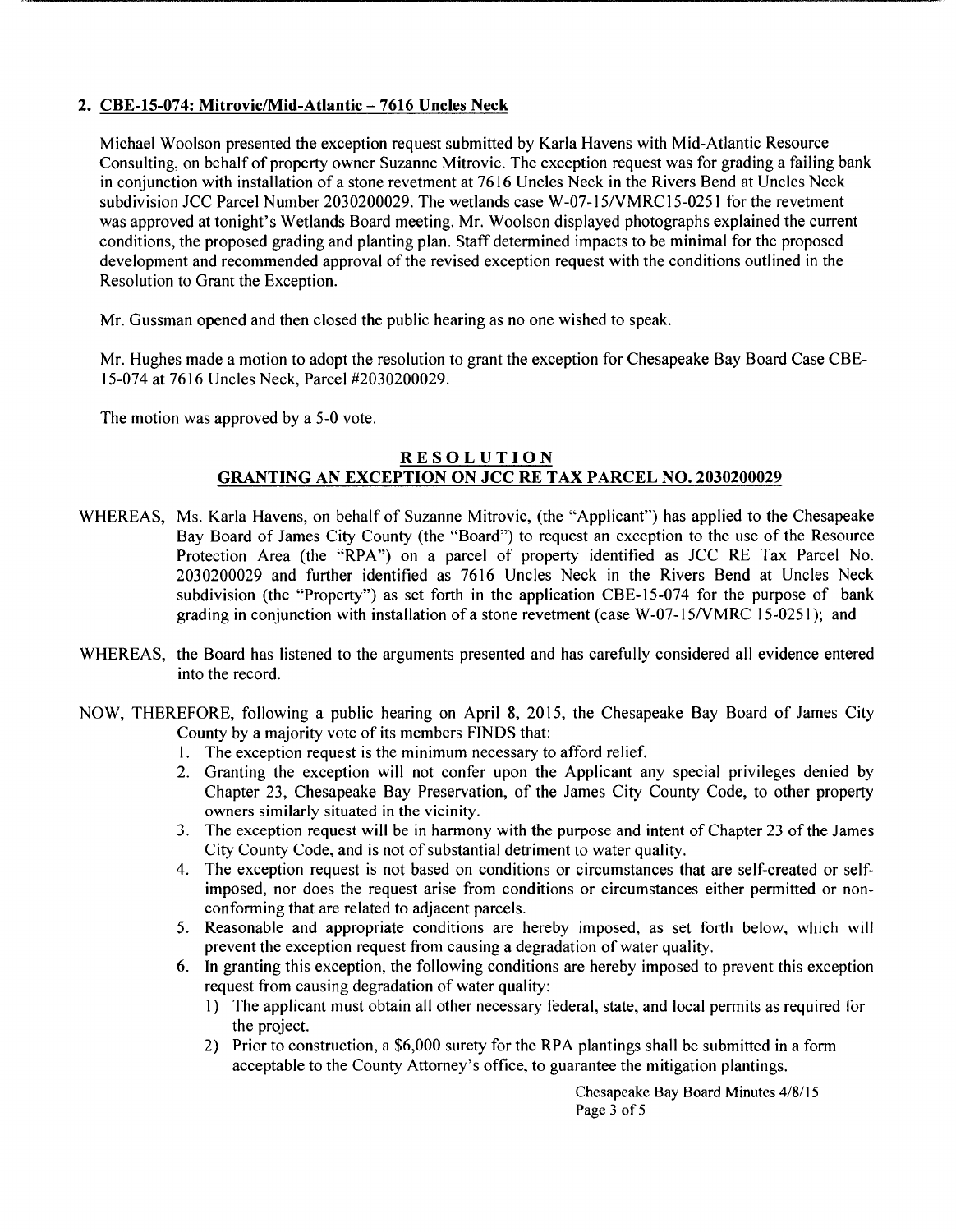## 2. CBE-15-074: Mitrovic/Mid-Atlantic- 7616 Uncles Neck

Michael Woolson presented the exception request submitted by Karla Havens with Mid-Atlantic Resource Consulting, on behalf of property owner Suzanne Mitrovic. The exception request was for grading a failing bank in conjunction with installation of a stone revetment at 7616 Uncles Neck in the Rivers Bend at Uncles Neck subdivision JCC Parcel Number 2030200029. The wetlands case W-07-15/VMRC15-0251 for the revetment was approved at tonight's Wetlands Board meeting. Mr. Woolson displayed photographs explained the current conditions, the proposed grading and planting plan. Staff determined impacts to be minimal for the proposed development and recommended approval of the revised exception request with the conditions outlined in the Resolution to Grant the Exception.

Mr. Gussman opened and then closed the public hearing as no one wished to speak.

Mr. Hughes made a motion to adopt the resolution to grant the exception for Chesapeake Bay Board Case CBE-15-074 at 7616 Uncles Neck, Parcel #2030200029.

The motion was approved by a 5-0 vote.

## RESOLUTION GRANTING AN EXCEPTION ON JCC RE TAX PARCEL NO. 2030200029

- WHEREAS, Ms. Karla Havens, on behalf of Suzanne Mitrovic, (the "Applicant") has applied to the Chesapeake Bay Board of James City County (the "Board") to request an exception to the use of the Resource Protection Area (the "RPA") on a parcel of property identified as JCC RE Tax Parcel No. 2030200029 and further identified as 7616 Uncles Neck in the Rivers Bend at Uncles Neck subdivision (the "Property") as set forth in the application CBE-15-074 for the purpose of bank grading in conjunction with installation of a stone revetment (case W-07-15NMRC 15-0251 ); and
- WHEREAS, the Board has listened to the arguments presented and has carefully considered all evidence entered into the record.
- NOW, THEREFORE, following a public hearing on April 8, 2015, the Chesapeake Bay Board of James City County by a majority vote of its members FINDS that:
	- 1. The exception request is the minimum necessary to afford relief.
	- 2. Granting the exception will not confer upon the Applicant any special privileges denied by Chapter 23, Chesapeake Bay Preservation, of the James City County Code, to other property owners similarly situated in the vicinity.
	- 3. The exception request will be in harmony with the purpose and intent of Chapter 23 of the James City County Code, and is not of substantial detriment to water quality.
	- 4. The exception request is not based on conditions or circumstances that are self-created or selfimposed, nor does the request arise from conditions or circumstances either permitted or nonconforming that are related to adjacent parcels.
	- 5. Reasonable and appropriate conditions are hereby imposed, as set forth below, which will prevent the exception request from causing a degradation of water quality.
	- 6. In granting this exception, the following conditions are hereby imposed to prevent this exception request from causing degradation of water quality:
		- 1) The applicant must obtain all other necessary federal, state, and local permits as required for the project.
		- 2) Prior to construction, a \$6,000 surety for the RPA plantings shall be submitted in a form acceptable to the County Attorney's office, to guarantee the mitigation plantings.

Chesapeake Bay Board Minutes 4/8115 Page 3 of 5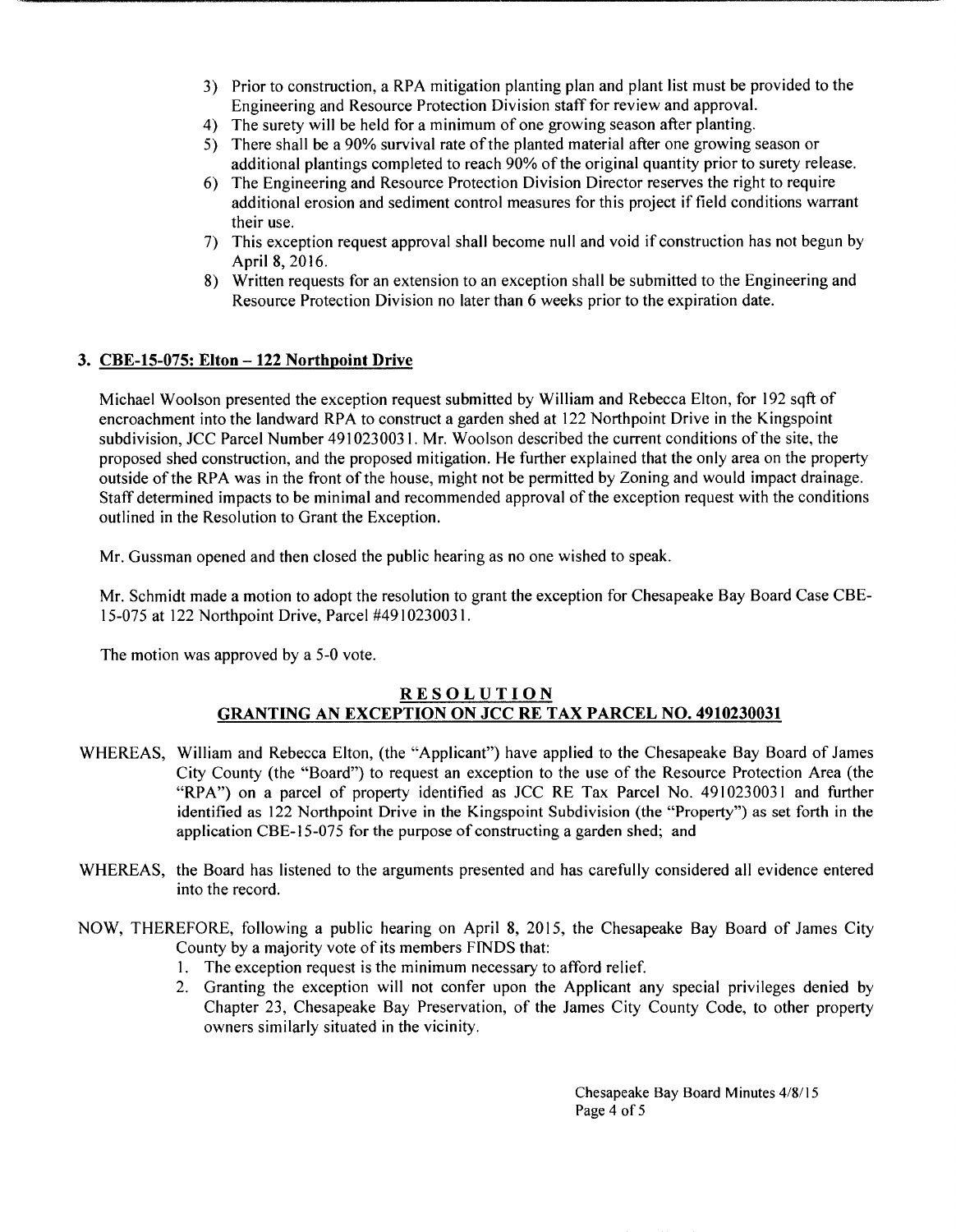- 3) Prior to construction, a RPA mitigation planting plan and plant list must be provided to the Engineering and Resource Protection Division staff for review and approval.
- 4) The surety will be held for a minimum of one growing season after planting.
- 5) There shall be a 90% survival rate of the planted material after one growing season or additional plantings completed to reach 90% of the original quantity prior to surety release.
- 6) The Engineering and Resource Protection Division Director reserves the right to require additional erosion and sediment control measures for this project if field conditions warrant their use.
- 7) This exception request approval shall become null and void if construction has not begun by April 8, 2016.
- 8) Written requests for an extension to an exception shall be submitted to the Engineering and Resource Protection Division no later than 6 weeks prior to the expiration date.

## **3. CBE-15-075: Elton- 122 Northpoint Drive**

Michael Woolson presented the exception request submitted by William and Rebecca Elton, for 192 sqft of encroachment into the landward RPA to construct a garden shed at 122 Northpoint Drive in the Kingspoint subdivision, JCC Parcel Number 4910230031. Mr. Woolson described the current conditions of the site, the proposed shed construction, and the proposed mitigation. He further explained that the only area on the property outside of the RPA was in the front of the house, might not be permitted by Zoning and would impact drainage. Staff determined impacts to be minimal and recommended approval of the exception request with the conditions outlined in the Resolution to Grant the Exception.

Mr. Gussman opened and then closed the public hearing as no one wished to speak.

Mr. Schmidt made a motion to adopt the resolution to grant the exception for Chesapeake Bay Board Case CBE-15-075 at 122 Northpoint Drive, Parcel #4910230031.

The motion was approved by a 5-0 vote.

#### **RESOLUTION GRANTING AN EXCEPTION ON JCC RE TAX PARCEL NO. 4910230031**

- WHEREAS, William and Rebecca Elton, (the "Applicant") have applied to the Chesapeake Bay Board of James City County (the "Board") to request an exception to the use of the Resource Protection Area (the "RPA") on a parcel of property identified as JCC RE Tax Parcel No. 4910230031 and further identified as 122 Northpoint Drive in the Kingspoint Subdivision (the "Property") as set forth in the application CBE-15-075 for the purpose of constructing a garden shed; and
- WHEREAS, the Board has listened to the arguments presented and has carefully considered all evidence entered into the record.
- NOW, THEREFORE, following a public hearing on April 8, 2015, the Chesapeake Bay Board of James City County by a majority vote of its members FINDS that:
	- 1. The exception request is the minimum necessary to afford relief.
	- 2. Granting the exception will not confer upon the Applicant any special privileges denied by Chapter 23, Chesapeake Bay Preservation, of the James City County Code, to other property owners similarly situated in the vicinity.

Chesapeake Bay Board Minutes 4/8/ 15 Page 4 of 5